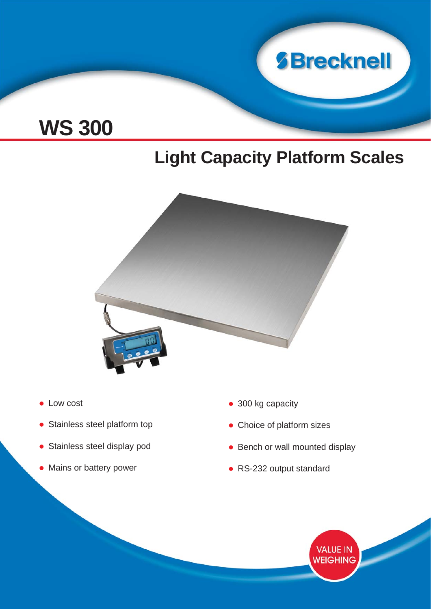

# **WS 300**

## **Light Capacity Platform Scales**



- Low cost
- Stainless steel platform top
- Stainless steel display pod
- Mains or battery power
- 300 kg capacity
- Choice of platform sizes
- Bench or wall mounted display
- RS-232 output standard